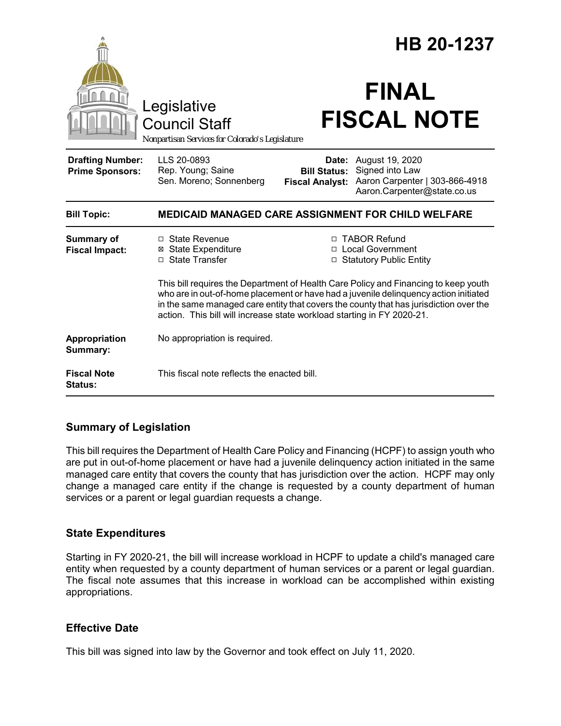|                                                                                        |                                                                                                                                                                                                                                                                                                                                                |                                                        | HB 20-1237                                                                                          |  |
|----------------------------------------------------------------------------------------|------------------------------------------------------------------------------------------------------------------------------------------------------------------------------------------------------------------------------------------------------------------------------------------------------------------------------------------------|--------------------------------------------------------|-----------------------------------------------------------------------------------------------------|--|
| Legislative<br><b>Council Staff</b><br>Nonpartisan Services for Colorado's Legislature |                                                                                                                                                                                                                                                                                                                                                | <b>FINAL</b><br><b>FISCAL NOTE</b>                     |                                                                                                     |  |
| <b>Drafting Number:</b><br><b>Prime Sponsors:</b>                                      | LLS 20-0893<br>Rep. Young; Saine<br>Sen. Moreno; Sonnenberg                                                                                                                                                                                                                                                                                    | Date:<br><b>Bill Status:</b><br><b>Fiscal Analyst:</b> | August 19, 2020<br>Signed into Law<br>Aaron Carpenter   303-866-4918<br>Aaron.Carpenter@state.co.us |  |
| <b>Bill Topic:</b>                                                                     | <b>MEDICAID MANAGED CARE ASSIGNMENT FOR CHILD WELFARE</b>                                                                                                                                                                                                                                                                                      |                                                        |                                                                                                     |  |
| <b>Summary of</b><br><b>Fiscal Impact:</b>                                             | $\Box$ State Revenue<br><b>⊠</b> State Expenditure<br>□ State Transfer                                                                                                                                                                                                                                                                         |                                                        | □ TABOR Refund<br>□ Local Government<br>□ Statutory Public Entity                                   |  |
|                                                                                        | This bill requires the Department of Health Care Policy and Financing to keep youth<br>who are in out-of-home placement or have had a juvenile delinguency action initiated<br>in the same managed care entity that covers the county that has jurisdiction over the<br>action. This bill will increase state workload starting in FY 2020-21. |                                                        |                                                                                                     |  |
| Appropriation<br>Summary:                                                              | No appropriation is required.                                                                                                                                                                                                                                                                                                                  |                                                        |                                                                                                     |  |
| <b>Fiscal Note</b><br><b>Status:</b>                                                   | This fiscal note reflects the enacted bill.                                                                                                                                                                                                                                                                                                    |                                                        |                                                                                                     |  |

## **Summary of Legislation**

This bill requires the Department of Health Care Policy and Financing (HCPF) to assign youth who are put in out-of-home placement or have had a juvenile delinquency action initiated in the same managed care entity that covers the county that has jurisdiction over the action. HCPF may only change a managed care entity if the change is requested by a county department of human services or a parent or legal guardian requests a change.

## **State Expenditures**

Starting in FY 2020-21, the bill will increase workload in HCPF to update a child's managed care entity when requested by a county department of human services or a parent or legal guardian. The fiscal note assumes that this increase in workload can be accomplished within existing appropriations.

## **Effective Date**

This bill was signed into law by the Governor and took effect on July 11, 2020.